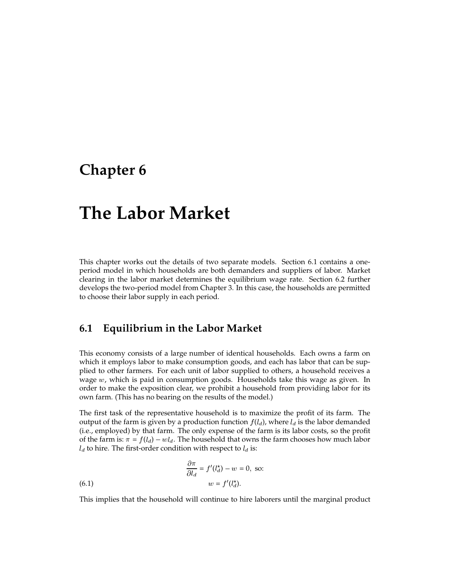## **Chapter 6**

# **The Labor Market**

This chapter works out the details of two separate models. Section 6.1 contains a oneperiod model in which households are both demanders and suppliers of labor. Market clearing in the labor market determines the equilibrium wage rate. Section 6.2 further develops the two-period model from Chapter 3. In this case, the households are permitted to choose their labor supply in each period.

## **6.1 Equilibrium in the Labor Market**

This economy consists of a large number of identical households. Each owns a farm on which it employs labor to make consumption goods, and each has labor that can be supplied to other farmers. For each unit of labor supplied to others, a household receives a wage  $w$ , which is paid in consumption goods. Households take this wage as given. In order to make the exposition clear, we prohibit a household from providing labor for its own farm. (This has no bearing on the results of the model.)

The first task of the representative household is to maximize the profit of its farm. The output of the farm is given by a production function  $f(l_d)$ , where  $l_d$  is the labor demanded (i.e., employed) by that farm. The only expense of the farm is its labor costs, so the profit of the farm is:  $\pi = f(l_d) - w_l$ . The household that owns the farm chooses how much labor  $l_d$  to hire. The first-order condition with respect to  $l_d$  is:

(6.1) 
$$
\frac{\partial \pi}{\partial l_d} = f'(l_d^*) - w = 0, \text{ so:}
$$

$$
w = f'(l_d^*).
$$

This implies that the household will continue to hire laborers until the marginal product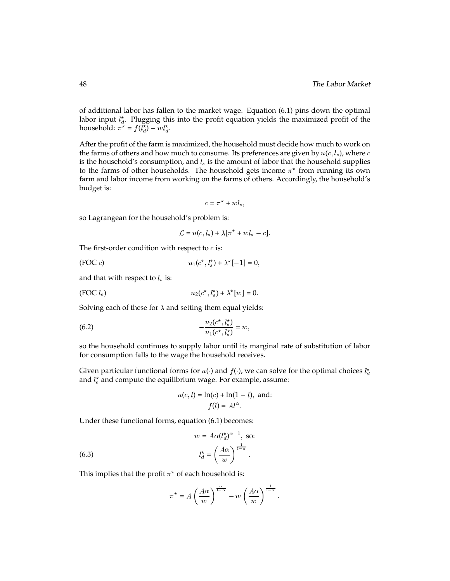of additional labor has fallen to the market wage. Equation (6.1) pins down the optimal labor input  $l_{a}^{*}$ . Plugging this into the profit equation yields the maximized profit of the household:  $\pi^* = f(l_d^*) - w l_d^*$ .

After the profit of the farm is maximized, the household must decide how much to work on the farms of others and how much to consume. Its preferences are given by  $u(c, l_s)$ , where c is the household's consumption, and  $l_s$  is the amount of labor that the household supplies to the farms of other households. The household gets income  $\pi^\star$  from running its own farm and labor income from working on the farms of others. Accordingly, the household's budget is:

$$
c = \pi^* + w l_s,
$$

so Lagrangean for the household's problem is:

$$
\mathcal{L} = u(c, l_s) + \lambda[\pi^* + w l_s - c].
$$

The first-order condition with respect to  $c$  is:

(FOC c) 
$$
u_1(c^*, l_s^*) + \lambda^*[-1] = 0,
$$

and that with respect to  $l_s$  is:

$$
(FOC l_s) \t\t\t u_2(c^*, l_s^*) + \lambda^*[w] = 0.
$$

Solving each of these for  $\lambda$  and setting them equal yields:

(6.2) 
$$
-\frac{u_2(c^*,l_s^*)}{u_1(c^*,l_s^*)}=w,
$$

so the household continues to supply labor until its marginal rate of substitution of labor for consumption falls to the wage the household receives.

Given particular functional forms for  $u(\cdot)$  and  $f(\cdot)$ , we can solve for the optimal choices  $l_d^*$ and  $l_{s}^{\star}$  and compute the equilibrium wage. For example, assume:

$$
u(c, l) = \ln(c) + \ln(1 - l), \text{ and:}
$$

$$
f(l) = Al^{\alpha}.
$$

Under these functional forms, equation (6.1) becomes:

(6.3) 
$$
w = A\alpha (l_d^*)^{\alpha - 1}, \text{ so:}
$$

$$
l_d^* = \left(\frac{A\alpha}{w}\right)^{\frac{1}{1-\alpha}}
$$

This implies that the profit  $\pi^\star$  of each household is:

$$
\pi^* = A \left(\frac{A\alpha}{w}\right)^{\frac{\alpha}{1-\alpha}} - w \left(\frac{A\alpha}{w}\right)^{\frac{1}{1-\alpha}}.
$$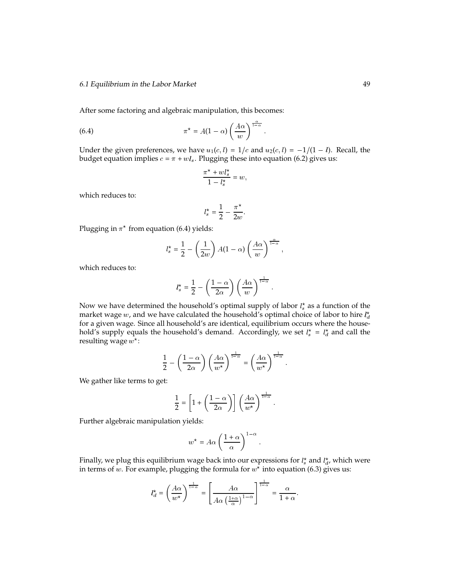After some factoring and algebraic manipulation, this becomes:

(6.4) 
$$
\pi^* = A(1-\alpha) \left(\frac{A\alpha}{w}\right)^{\frac{\alpha}{1-\alpha}}.
$$

Under the given preferences, we have  $u_1(c, l) = 1/c$  and  $u_2(c, l) = -1/(1 - l)$ . Recall, the budget equation implies  $c = \pi + w l_s$ . Plugging these into equation (6.2) gives us:

$$
\frac{\pi^{\star} + w l_s^{\star}}{1 - l_s^{\star}} = w,
$$

which reduces to:

$$
l_s^\star = \frac{1}{2} - \frac{\pi^\star}{2w}.
$$

Plugging in  $\pi^\star$  from equation (6.4) yields:

$$
l_s^* = \frac{1}{2} - \left(\frac{1}{2w}\right)A(1-\alpha)\left(\frac{A\alpha}{w}\right)^{\frac{\alpha}{1-\alpha}},
$$

which reduces to:

$$
l_s^* = \frac{1}{2} - \left(\frac{1-\alpha}{2\alpha}\right) \left(\frac{A\alpha}{w}\right)^{\frac{1}{1-\alpha}}.
$$

Now we have determined the household's optimal supply of labor  $l_s^{\star}$  as a function of the market wage w, and we have calculated the household's optimal choice of labor to hire  $l_d^*$ for a given wage. Since all household's are identical, equilibrium occurs where the household's supply equals the household's demand. Accordingly, we set  $l_s^* = l_d^*$  and call the resulting wage  $w^\star$ :

$$
\frac{1}{2} - \left(\frac{1-\alpha}{2\alpha}\right) \left(\frac{A\alpha}{w^*}\right)^{\frac{1}{1-\alpha}} = \left(\frac{A\alpha}{w^*}\right)^{\frac{1}{1-\alpha}}.
$$

We gather like terms to get:

$$
\frac{1}{2} = \left[1 + \left(\frac{1-\alpha}{2\alpha}\right)\right] \left(\frac{A\alpha}{w^*}\right)^{\frac{1}{1-\alpha}}.
$$

Further algebraic manipulation yields:

$$
w^* = A\alpha \left(\frac{1+\alpha}{\alpha}\right)^{1-\alpha}.
$$

Finally, we plug this equilibrium wage back into our expressions for  $l_s^\star$  and  $l_d^\star$ , which were in terms of  $w.$  For example, plugging the formula for  $w^\star$  into equation (6.3) gives us:

$$
l_d^{\star} = \left(\frac{A\alpha}{w^{\star}}\right)^{\frac{1}{1-\alpha}} = \left[\frac{A\alpha}{A\alpha\left(\frac{1+\alpha}{\alpha}\right)^{1-\alpha}}\right]^{\frac{1}{1-\alpha}} = \frac{\alpha}{1+\alpha}.
$$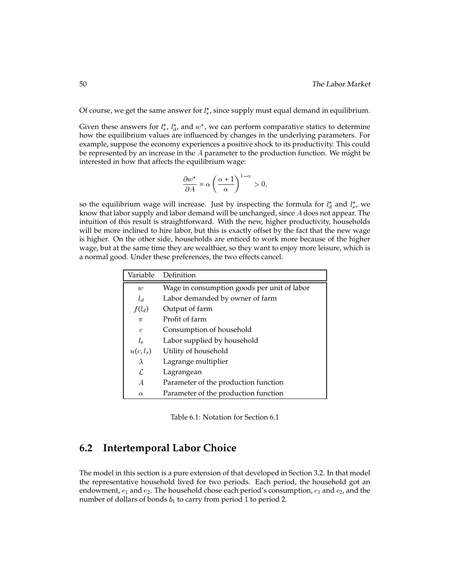Of course, we get the same answer for  $l_s^*$ , since supply must equal demand in equilibrium.

Given these answers for  $l_s^*$ ,  $l_d^*$ , and  $w^*$ , we can perform comparative statics to determine how the equilibrium values are influenced by changes in the underlying parameters. For example, suppose the economy experiences a positive shock to its productivity. This could be represented by an increase in the  $A$  parameter to the production function. We might be interested in how that affects the equilibrium wage:

$$
\frac{\partial w^*}{\partial A} = \alpha \left( \frac{\alpha + 1}{\alpha} \right)^{1 - \alpha} > 0,
$$

so the equilibrium wage will increase. Just by inspecting the formula for  $l_d^*$  and  $l_s^*$ , we know that labor supply and labor demand will be unchanged, since  $A$  does not appear. The intuition of this result is straightforward. With the new, higher productivity, households will be more inclined to hire labor, but this is exactly offset by the fact that the new wage is higher. On the other side, households are enticed to work more because of the higher wage, but at the same time they are wealthier, so they want to enjoy more leisure, which is a normal good. Under these preferences, the two effects cancel.

| Variable         | Definition                                  |
|------------------|---------------------------------------------|
| $\boldsymbol{w}$ | Wage in consumption goods per unit of labor |
| $l_d$            | Labor demanded by owner of farm             |
| $f(l_d)$         | Output of farm                              |
| $\pi$            | Profit of farm                              |
| $\mathfrak c$    | Consumption of household                    |
| $l_{s}$          | Labor supplied by household                 |
| $u(c, l_s)$      | Utility of household                        |
| $\lambda$        | Lagrange multiplier                         |
| ſ.               | Lagrangean                                  |
| A                | Parameter of the production function        |
| $\alpha$         | Parameter of the production function        |

Table 6.1: Notation for Section 6.1

## **6.2 Intertemporal Labor Choice**

The model in this section is a pure extension of that developed in Section 3.2. In that model the representative household lived for two periods. Each period, the household got an endowment,  $e_1$  and  $e_2$ . The household chose each period's consumption,  $c_1$  and  $c_2$ , and the number of dollars of bonds  $b_1$  to carry from period 1 to period 2.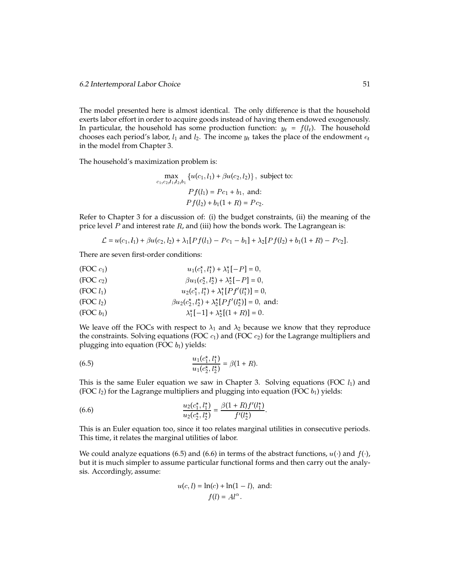The model presented here is almost identical. The only difference is that the household exerts labor effort in order to acquire goods instead of having them endowed exogenously. In particular, the household has some production function:  $y_t = f(l_t)$ . The household chooses each period's labor,  $l_1$  and  $l_2$ . The income  $y_t$  takes the place of the endowment  $e_t$ in the model from Chapter 3.

The household's maximization problem is:

$$
\max_{c_1, c_2, l_1, l_2, b_1} \{ u(c_1, l_1) + \beta u(c_2, l_2) \}, \text{ subject to:}
$$
\n
$$
Pf(l_1) = Pc_1 + b_1, \text{ and:}
$$
\n
$$
Pf(l_2) + b_1(1 + R) = Pc_2.
$$

Refer to Chapter 3 for a discussion of: (i) the budget constraints, (ii) the meaning of the price level  $P$  and interest rate  $R$ , and (iii) how the bonds work. The Lagrangean is:

$$
\mathcal{L} = u(c_1, l_1) + \beta u(c_2, l_2) + \lambda_1 [Pf(l_1) - Pc_1 - b_1] + \lambda_2 [Pf(l_2) + b_1(1+R) - Pc_2].
$$

There are seven first-order conditions:

(FOC 
$$
c_1
$$
)  
\n
$$
u_1(c_1^*, l_1^*) + \lambda_1^*[-P] = 0,
$$
\n(FOC  $c_2$ )  
\n
$$
\beta u_1(c_2^*, l_2^*) + \lambda_2^*[-P] = 0,
$$
\n(FOC  $l_1$ )  
\n
$$
u_2(c_1^*, l_1^*) + \lambda_1^*[Pf'(l_1^*)] = 0,
$$
\n(FOC  $l_2$ )  
\n
$$
\beta u_2(c_2^*, l_2^*) + \lambda_2^*[Pf'(l_2^*)] = 0, \text{ and:}
$$
\n(FOC  $b_1$ )  
\n
$$
\lambda_1^*[-1] + \lambda_2^*[(1+R)] = 0.
$$

We leave off the FOCs with respect to  $\lambda_1$  and  $\lambda_2$  because we know that they reproduce the constraints. Solving equations (FOC  $c_1$ ) and (FOC  $c_2$ ) for the Lagrange multipliers and plugging into equation (FOC  $b_1$ ) yields:

(6.5) 
$$
\frac{u_1(c_1^*, l_1^*)}{u_1(c_2^*, l_2^*)} = \beta(1 + R).
$$

This is the same Euler equation we saw in Chapter 3. Solving equations (FOC  $l_1$ ) and (FOC  $l_2$ ) for the Lagrange multipliers and plugging into equation (FOC  $b_1$ ) yields:

(6.6) 
$$
\frac{u_2(c_1^*,l_1^*)}{u_2(c_2^*,l_2^*)} = \frac{\beta(1+R)f'(l_1^*)}{f'(l_2^*)}.
$$

This is an Euler equation too, since it too relates marginal utilities in consecutive periods. This time, it relates the marginal utilities of labor.

We could analyze equations (6.5) and (6.6) in terms of the abstract functions,  $u(\cdot)$  and  $f(\cdot)$ , but it is much simpler to assume particular functional forms and then carry out the analysis. Accordingly, assume:

$$
u(c, l) = \ln(c) + \ln(1 - l), \text{ and:}
$$

$$
f(l) = Al^{\alpha}.
$$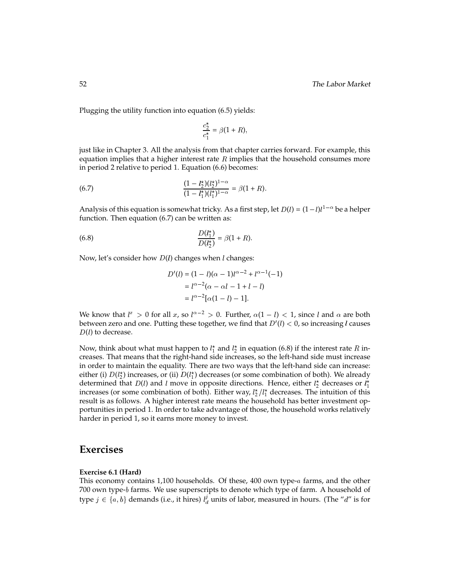Plugging the utility function into equation (6.5) yields:

$$
\frac{c_2^*}{c_1^*} = \beta(1+R),
$$

just like in Chapter 3. All the analysis from that chapter carries forward. For example, this equation implies that a higher interest rate  $R$  implies that the household consumes more in period 2 relative to period 1. Equation (6.6) becomes:

(6.7) 
$$
\frac{(1-l_2^{\star})(l_2^{\star})^{1-\alpha}}{(1-l_1^{\star})(l_1^{\star})^{1-\alpha}} = \beta(1+R).
$$

Analysis of this equation is somewhat tricky. As a first step, let  $D(l) = (1-l)l^{1-\alpha}$  be a helper function. Then equation (6.7) can be written as:

(6.8) 
$$
\frac{D(l_1^*)}{D(l_2^*)} = \beta(1+R).
$$

Now, let's consider how  $D(l)$  changes when  $l$  changes:

$$
D'(l) = (1 - l)(\alpha - 1)l^{\alpha - 2} + l^{\alpha - 1}(-1)
$$
  
=  $l^{\alpha - 2}(\alpha - \alpha l - 1 + l - l)$   
=  $l^{\alpha - 2}[\alpha(1 - l) - 1].$ 

We know that  $l^x > 0$  for all x, so  $l^{\alpha-2} > 0$ . Further,  $\alpha(1 - l) < 1$ , since l and  $\alpha$  are both between zero and one. Putting these together, we find that  $D'(l) < 0$ , so increasing  $l$  causes  $D(l)$  to decrease.

Now, think about what must happen to  $l_1^{\star}$  and  $l_2^{\star}$  in equation (6.8) if the interest rate  $R$  increases. That means that the right-hand side increases, so the left-hand side must increase in order to maintain the equality. There are two ways that the left-hand side can increase: either (i)  $D(l_2^*)$  increases, or (ii)  $D(l_1^*)$  decreases (or some combination of both). We already determined that  $D(l)$  and l move in opposite directions. Hence, either  $l_2^{\star}$  decreases or  $l_1^{\star}$ increases (or some combination of both). Either way,  $l_2^{\star}/l_1^{\star}$  decreases. The intuition of this result is as follows. A higher interest rate means the household has better investment opportunities in period 1. In order to take advantage of those, the household works relatively harder in period 1, so it earns more money to invest.

## **Exercises**

#### **Exercise 6.1 (Hard)**

This economy contains  $1,100$  households. Of these,  $400$  own type- $a$  farms, and the other 700 own type-b farms. We use superscripts to denote which type of farm. A household of type  $j \in \{a, b\}$  demands (i.e., it hires)  $l_d^j$  units of labor, measured in hours. (The "d" is for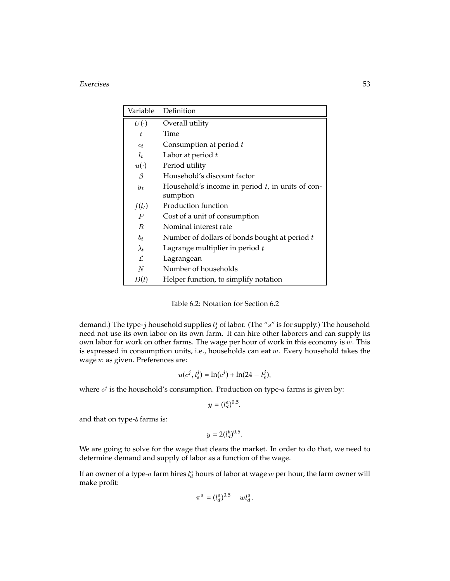#### Exercises 53

| Variable       | Definition                                          |
|----------------|-----------------------------------------------------|
| U(             | Overall utility                                     |
| t              | Time                                                |
| $c_t$          | Consumption at period $t$                           |
| $l_t$          | Labor at period $t$                                 |
| $u(\cdot)$     | Period utility                                      |
| $\beta$        | Household's discount factor                         |
| $y_t$          | Household's income in period $t$ , in units of con- |
|                | sumption                                            |
| $f(l_t)$       | Production function                                 |
| $\overline{P}$ | Cost of a unit of consumption                       |
| R.             | Nominal interest rate                               |
| $b_t$          | Number of dollars of bonds bought at period $t$     |
| $\lambda_t$    | Lagrange multiplier in period $t$                   |
| ſ.             | Lagrangean                                          |
| N              | Number of households                                |
| D(l)           | Helper function, to simplify notation               |

Table 6.2: Notation for Section 6.2

demand.) The type-j household supplies  $l_s^j$  of labor. (The "s" is for supply.) The household need not use its own labor on its own farm. It can hire other laborers and can supply its own labor for work on other farms. The wage per hour of work in this economy is  $w$ . This is expressed in consumption units, i.e., households can eat <sup>w</sup>. Every household takes the wage w as given. Preferences are:

$$
u(c^j, l_s^j) = \ln(c^j) + \ln(24 - l_s^j),
$$

where  $c^{\jmath}$  is the household's consumption. Production on type- $a$  farms is given by:

$$
y=(l_d^a)^{0.5},
$$

and that on type-b farms is:

$$
y=2(l_d^b)^{0.5}
$$

We are going to solve for the wage that clears the market. In order to do that, we need to determine demand and supply of labor as a function of the wage.

If an owner of a type- $a$  farm hires  $l^a_d$  hours of labor at wage  $w$  per hour, the farm owner will make profit:

$$
\pi^a = (l_d^a)^{0.5} - w l_d^a.
$$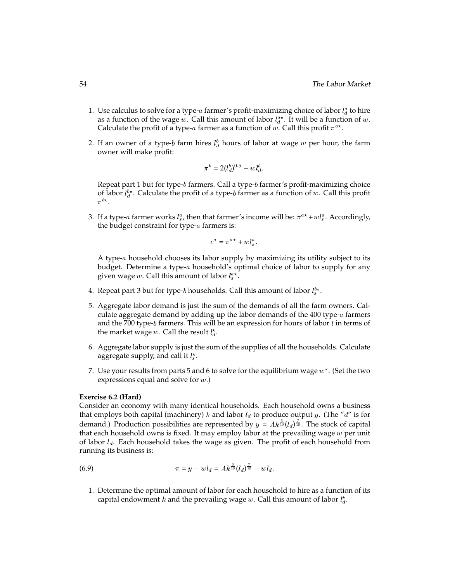- 1. Use calculus to solve for a type- $a$  farmer's profit-maximizing choice of labor  $l_d^a$  to hire as a function of the wage w. Call this amount of labor  $l_d^a$ . It will be a function of w. Calculate the profit of a type- $a$  farmer as a function of  $w.$  Call this profit  $\pi^{a\star}.$
- 2. If an owner of a type-b farm hires  $l_d^b$  hours of labor at wage w per hour, the farm owner will make profit:

$$
\pi^b = 2(l_d^b)^{0.5} - w l_d^b.
$$

Repeat part 1 but for type-b farmers. Call a type-b farmer's profit-maximizing choice of labor  $l_d^{b*}$ . Calculate the profit of a type-b farmer as a function of w. Call this profit  $\pi^{b\star}$ .

3. If a type- $a$  farmer works  $l_s^a$ , then that farmer's income will be:  $\pi^{a\,\star}+w l_s^a$ . Accordingly, the budget constraint for type-a farmers is:

$$
c^a = \pi^{a\star} + w l_s^a.
$$

A type-a household chooses its labor supply by maximizing its utility subject to its budget. Determine a type-a household's optimal choice of labor to supply for any given wage  $w.$  Call this amount of labor  $l_s^{a\,\star}.$ 

- 4. Repeat part 3 but for type- $b$  households. Call this amount of labor  $l_{s}^{b\star}.$
- 5. Aggregate labor demand is just the sum of the demands of all the farm owners. Calculate aggregate demand by adding up the labor demands of the  $400$  type- $a$  farmers and the 700 type-b farmers. This will be an expression for hours of labor  $l$  in terms of the market wage w. Call the result  $l_d^*$ .
- 6. Aggregate labor supply is just the sum of the supplies of all the households. Calculate aggregate supply, and call it  $l_s^{\star}$ .
- 7. Use your results from parts 5 and 6 to solve for the equilibrium wage  $w^\star.$  (Set the two expressions equal and solve for <sup>w</sup>.)

#### **Exercise 6.2 (Hard)**

Consider an economy with many identical households. Each household owns a business that employs both capital (machinery) k and labor  $l_d$  to produce output y. (The "d" is for demand.) Production possibilities are represented by  $y = Ak^{\frac{3}{10}}(l_d)^{\frac{7}{10}}$ . The stock of capital that each household owns is fixed. It may employ labor at the prevailing wage  $w$  per unit of labor  $l_d$ . Each household takes the wage as given. The profit of each household from running its business is:

(6.9) 
$$
\pi = y - w l_d = Ak^{\frac{3}{10}}(l_d)^{\frac{7}{10}} - w l_d.
$$

1. Determine the optimal amount of labor for each household to hire as a function of its capital endowment k and the prevailing wage w. Call this amount of labor  $l_d^*$ .